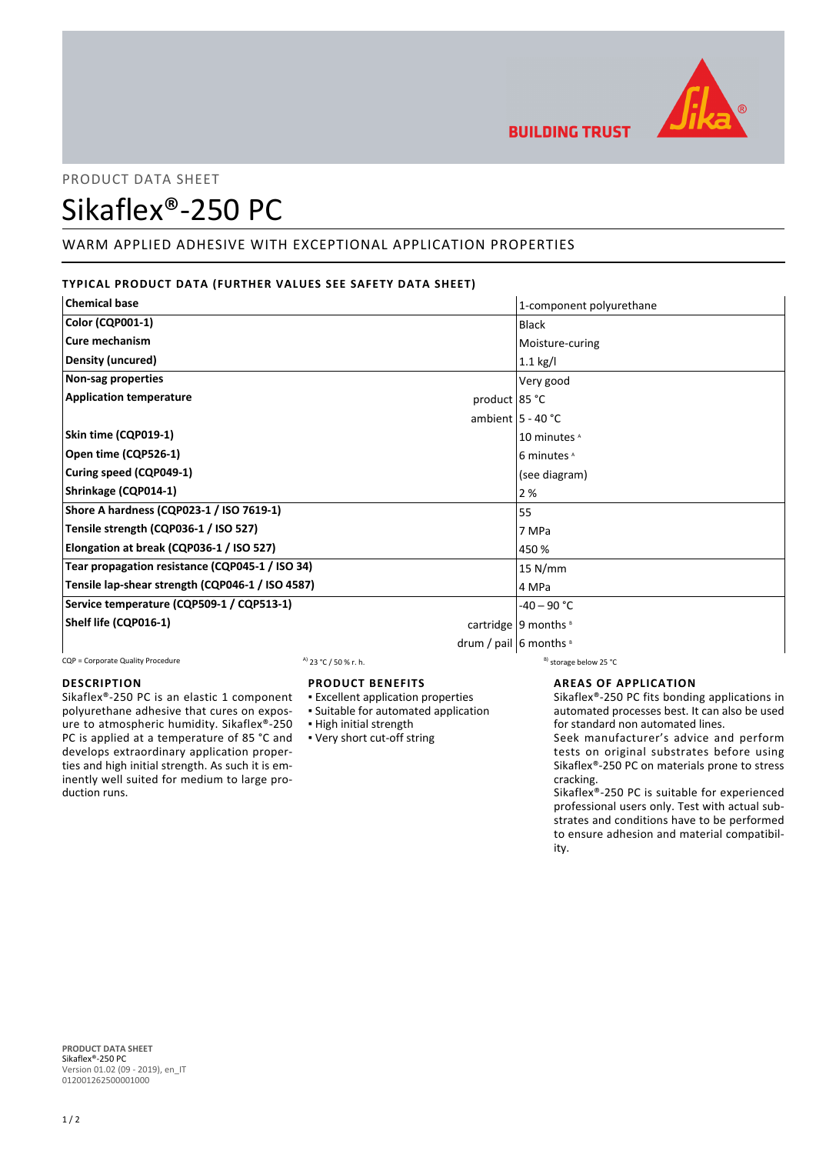

# PRODUCT DATA SHEET

# Sikaflex®-250 PC

# WARM APPLIED ADHESIVE WITH EXCEPTIONAL APPLICATION PROPERTIES

# **TYPICAL PRODUCT DATA (FURTHER VALUES SEE SAFETY DATA SHEET)**

| <b>Chemical base</b>                              | 1-component polyurethane             |
|---------------------------------------------------|--------------------------------------|
| <b>Color (CQP001-1)</b>                           | Black                                |
| Cure mechanism                                    | Moisture-curing                      |
| Density (uncured)                                 | $1.1$ kg/l                           |
| Non-sag properties                                | Very good                            |
| <b>Application temperature</b><br>product $85 °C$ |                                      |
|                                                   | ambient $5 - 40$ °C                  |
| Skin time (CQP019-1)                              | 10 minutes <sup>A</sup>              |
| Open time (CQP526-1)                              | 6 minutes A                          |
| Curing speed (CQP049-1)                           | (see diagram)                        |
| Shrinkage (CQP014-1)                              | 2 %                                  |
| Shore A hardness (CQP023-1 / ISO 7619-1)          | 55                                   |
| Tensile strength (CQP036-1 / ISO 527)             | 7 MPa                                |
| Elongation at break (CQP036-1 / ISO 527)          | 450 %                                |
| Tear propagation resistance (CQP045-1 / ISO 34)   | 15 N/mm                              |
| Tensile lap-shear strength (CQP046-1 / ISO 4587)  | 4 MPa                                |
| Service temperature (CQP509-1 / CQP513-1)         | $-40 - 90$ °C                        |
| Shelf life (CQP016-1)                             | cartridge   9 months $\frac{8}{3}$   |
|                                                   | drum / pail $\vert$ 6 months $\vert$ |

CQP = Corporate Quality Procedure  $A$  23 °C / 50 % r. h. B) storage below 25 °C

#### **DESCRIPTION**

Sikaflex®-250 PC is an elastic 1 component polyurethane adhesive that cures on exposure to atmospheric humidity. Sikaflex®-250 PC is applied at a temperature of 85 °C and develops extraordinary application properties and high initial strength. As such it is eminently well suited for medium to large production runs.

#### **PRODUCT BENEFITS**

- **Excellent application properties**
- Suitable for automated application
- **· High initial strength**
- Very short cut-off string

#### **AREAS OF APPLICATION**

Sikaflex®-250 PC fits bonding applications in automated processes best. It can also be used for standard non automated lines.

Seek manufacturer's advice and perform tests on original substrates before using Sikaflex®-250 PC on materials prone to stress cracking.

Sikaflex®-250 PC is suitable for experienced professional users only. Test with actual substrates and conditions have to be performed to ensure adhesion and material compatibility.